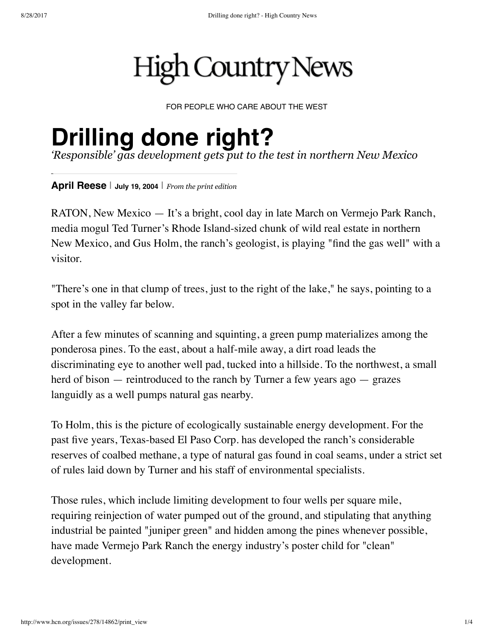# **High Country News**

FOR PEOPLE WHO CARE ABOUT THE WEST

# **Drilling done right?**

*'Responsible' gas development gets put to the test in northern New Mexico*

**April [Reese](http://www.hcn.org/author_search?getAuthor=April%20Reese&sort_on=PublicationDate&sort_order=descending)** | **July 19, <sup>2004</sup>** | *From the print [edition](http://www.hcn.org/issues/278)*

RATON, New Mexico — It's a bright, cool day in late March on Vermejo Park Ranch, media mogul Ted Turner's Rhode Island-sized chunk of wild real estate in northern New Mexico, and Gus Holm, the ranch's geologist, is playing "find the gas well" with a visitor.

"There's one in that clump of trees, just to the right of the lake," he says, pointing to a spot in the valley far below.

After a few minutes of scanning and squinting, a green pump materializes among the ponderosa pines. To the east, about a half-mile away, a dirt road leads the discriminating eye to another well pad, tucked into a hillside. To the northwest, a small herd of bison — reintroduced to the ranch by Turner a few years ago — grazes languidly as a well pumps natural gas nearby.

To Holm, this is the picture of ecologically sustainable energy development. For the past five years, Texas-based El Paso Corp. has developed the ranch's considerable reserves of coalbed methane, a type of natural gas found in coal seams, under a strict set of rules laid down by Turner and his staff of environmental specialists.

Those rules, which include limiting development to four wells per square mile, requiring reinjection of water pumped out of the ground, and stipulating that anything industrial be painted "juniper green" and hidden among the pines whenever possible, have made Vermejo Park Ranch the energy industry's poster child for "clean" development.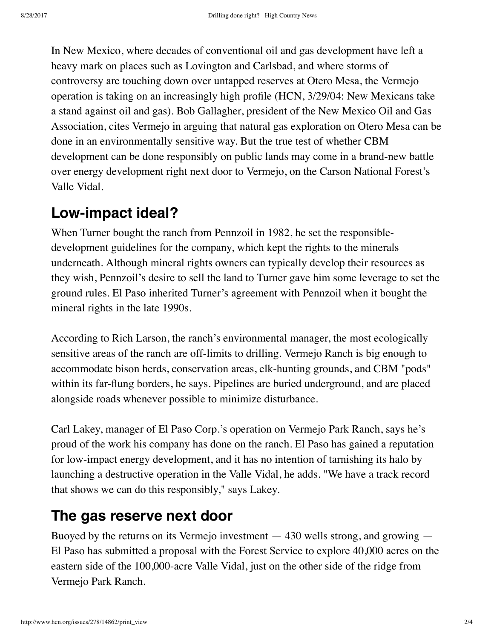In New Mexico, where decades of conventional oil and gas development have left a heavy mark on places such as Lovington and Carlsbad, and where storms of controversy are touching down over untapped reserves at Otero Mesa, the Vermejo operation is taking on an increasingly high profile (HCN, 3/29/04: New Mexicans take a stand against oil and gas). Bob Gallagher, president of the New Mexico Oil and Gas Association, cites Vermejo in arguing that natural gas exploration on Otero Mesa can be done in an environmentally sensitive way. But the true test of whether CBM development can be done responsibly on public lands may come in a brand-new battle over energy development right next door to Vermejo, on the Carson National Forest's Valle Vidal.

## **Low-impact ideal?**

When Turner bought the ranch from Pennzoil in 1982, he set the responsibledevelopment guidelines for the company, which kept the rights to the minerals underneath. Although mineral rights owners can typically develop their resources as they wish, Pennzoil's desire to sell the land to Turner gave him some leverage to set the ground rules. El Paso inherited Turner's agreement with Pennzoil when it bought the mineral rights in the late 1990s.

According to Rich Larson, the ranch's environmental manager, the most ecologically sensitive areas of the ranch are off-limits to drilling. Vermejo Ranch is big enough to accommodate bison herds, conservation areas, elk-hunting grounds, and CBM "pods" within its far-flung borders, he says. Pipelines are buried underground, and are placed alongside roads whenever possible to minimize disturbance.

Carl Lakey, manager of El Paso Corp.'s operation on Vermejo Park Ranch, says he's proud of the work his company has done on the ranch. El Paso has gained a reputation for low-impact energy development, and it has no intention of tarnishing its halo by launching a destructive operation in the Valle Vidal, he adds. "We have a track record that shows we can do this responsibly," says Lakey.

## **The gas reserve next door**

Buoyed by the returns on its Vermejo investment  $-430$  wells strong, and growing  $-$ El Paso has submitted a proposal with the Forest Service to explore 40,000 acres on the eastern side of the 100,000-acre Valle Vidal, just on the other side of the ridge from Vermejo Park Ranch.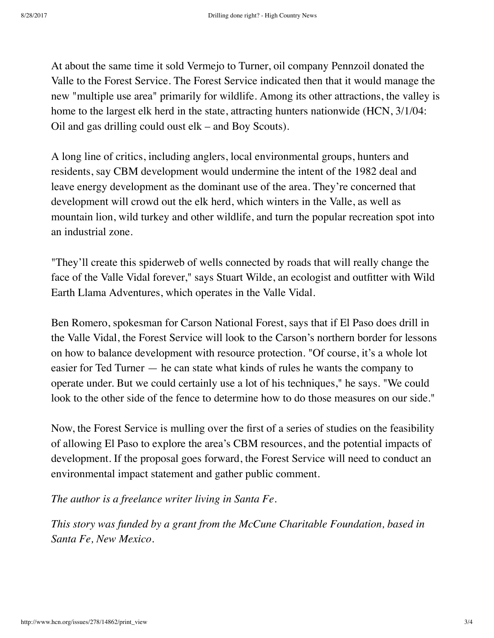At about the same time it sold Vermejo to Turner, oil company Pennzoil donated the Valle to the Forest Service. The Forest Service indicated then that it would manage the new "multiple use area" primarily for wildlife. Among its other attractions, the valley is home to the largest elk herd in the state, attracting hunters nationwide (HCN, 3/1/04: Oil and gas drilling could oust elk – and Boy Scouts).

A long line of critics, including anglers, local environmental groups, hunters and residents, say CBM development would undermine the intent of the 1982 deal and leave energy development as the dominant use of the area. They're concerned that development will crowd out the elk herd, which winters in the Valle, as well as mountain lion, wild turkey and other wildlife, and turn the popular recreation spot into an industrial zone.

"They'll create this spiderweb of wells connected by roads that will really change the face of the Valle Vidal forever," says Stuart Wilde, an ecologist and outfitter with Wild Earth Llama Adventures, which operates in the Valle Vidal.

Ben Romero, spokesman for Carson National Forest, says that if El Paso does drill in the Valle Vidal, the Forest Service will look to the Carson's northern border for lessons on how to balance development with resource protection. "Of course, it's a whole lot easier for Ted Turner — he can state what kinds of rules he wants the company to operate under. But we could certainly use a lot of his techniques," he says. "We could look to the other side of the fence to determine how to do those measures on our side."

Now, the Forest Service is mulling over the first of a series of studies on the feasibility of allowing El Paso to explore the area's CBM resources, and the potential impacts of development. If the proposal goes forward, the Forest Service will need to conduct an environmental impact statement and gather public comment.

*The author is a freelance writer living in Santa Fe.*

*This story was funded by a grant from the McCune Charitable Foundation, based in Santa Fe, New Mexico.*